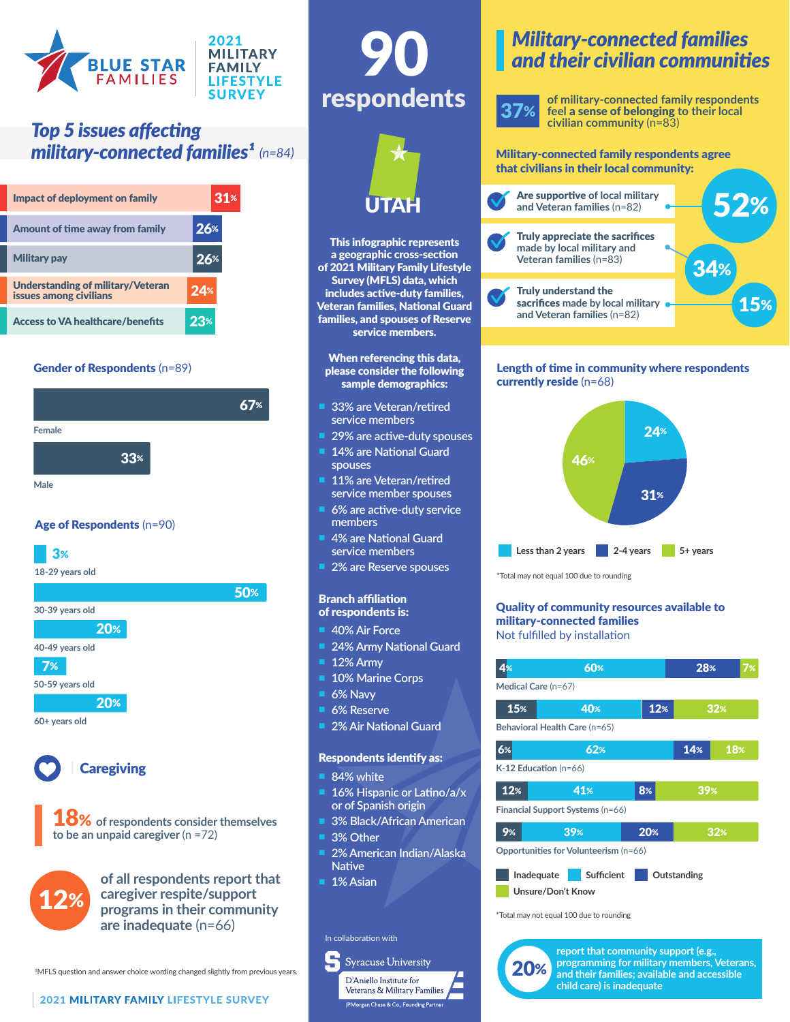

# *Top 5 issues affecting military-connected families<sup>1</sup>* (n=84) Military-connected family respondents agree

| Impact of deployment on family                              | 31%   |
|-------------------------------------------------------------|-------|
| Amount of time away from family                             | 26%   |
| <b>Military pay</b>                                         | $26*$ |
| Understanding of military/Veteran<br>issues among civilians | 24%   |
| <b>Access to VA healthcare/benefits</b>                     | 23%   |

#### Gender of Respondents (n=89)



#### Age of Respondents (n=90)

### 3%

**18-29 years old**



**to be an unpaid caregiver** (n =72)

**of all respondents report that caregiver respite/support programs in their community are inadequate** (n=66) 12%

1MFLS question and answer choice wording changed slightly from previous years.





This infographic represents a geographic cross-section of 2021 Military Family Lifestyle Survey (MFLS) data, which includes active-duty families, Veteran families, National Guard families, and spouses of Reserve service members.

#### When referencing this data, please consider the following sample demographics:

- n **33% are Veteran/retired service members**
- 29% are active-duty spouses
- 14% are National Guard **spouses**
- 11% are Veteran/retired **service member spouses**
- n **6% are active-duty service members**
- **4% are National Guard service members**
- n **2% are Reserve spouses**

#### Branch affiliation of respondents is:

- **40% Air Force**
- **24% Army National Guard**
- 12% Army
- **10% Marine Corps**
- **6% Navv**
- n **6% Reserve**
- **2% Air National Guard**

#### Respondents identify as:

- **84% white**
- 16% Hispanic or Latino/a/x **or of Spanish origin**
- n **3% Black/African American**
- **3% Other**
- n **2% American Indian/Alaska Native**

**Syracuse University** D'Aniello Institute for Veterans & Military Families

.<br>PMorgan Chase & Co., Founding Partne

1% Asian

#### In collaboration with





**of military-connected family respondents feel** a sense of belonging **to their local civilian community** (n=83)

# that civilians in their local community:



#### Length of time in community where respondents currently reside (n=68)



\*Total may not equal 100 due to rounding

#### Quality of community resources available to military-connected families Not fulfilled by installation

| 4%                                      | 60% |     | 28% | 7%  |  |  |
|-----------------------------------------|-----|-----|-----|-----|--|--|
| Medical Care (n=67)                     |     |     |     |     |  |  |
| 15%                                     | 40% | 12% |     | 32% |  |  |
| Behavioral Health Care (n=65)           |     |     |     |     |  |  |
| 6%                                      | 62% |     | 14% | 18% |  |  |
| $K-12$ Education (n=66)                 |     |     |     |     |  |  |
| 12%                                     | 41% | 8%  | 39% |     |  |  |
| Financial Support Systems (n=66)        |     |     |     |     |  |  |
| 9%                                      | 39% | 20% |     | 32% |  |  |
| Opportunities for Volunteerism (n=66)   |     |     |     |     |  |  |
| Sufficient<br>Inadequate<br>Outstanding |     |     |     |     |  |  |
| Unsure/Don't Know                       |     |     |     |     |  |  |

\*Total may not equal 100 due to rounding



**report that community support (e.g., programming for military members, Veterans, and their families; available and accessible child care) is inadequate**